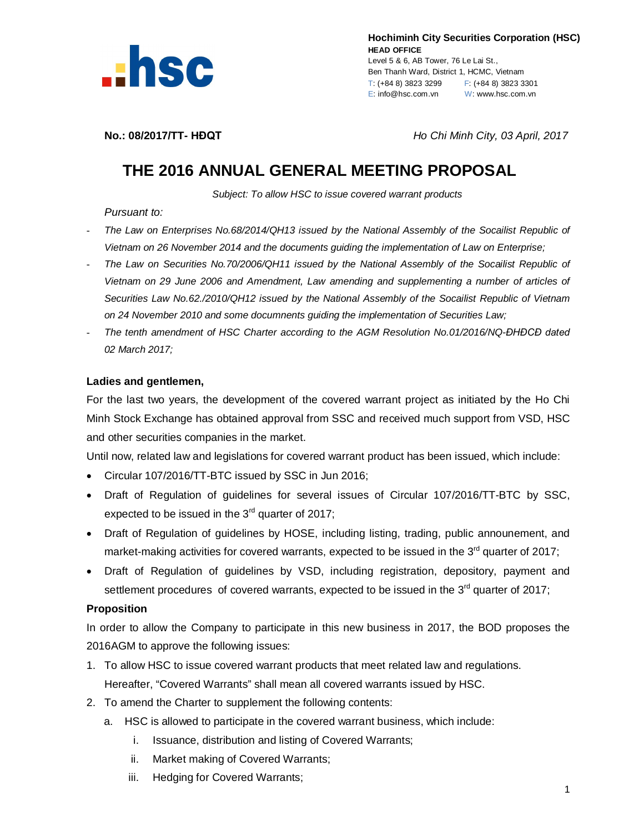

 **Hochiminh City Securities Corporation (HSC) HEAD OFFICE** Level 5 & 6, AB Tower, 76 Le Lai St., Ben Thanh Ward, District 1, HCMC, Vietnam T: (+84 8) 3823 3299 F: (+84 8) 3823 3301 E: info@hsc.com.vn W: www.hsc.com.vn

**No.: 08/2017/TT- HĐQT** *Ho Chi Minh City, 03 April, 2017*

## **THE 2016 ANNUAL GENERAL MEETING PROPOSAL**

*Subject: To allow HSC to issue covered warrant products*

*Pursuant to:*

- *The Law on Enterprises No.68/2014/QH13 issued by the National Assembly of the Socailist Republic of Vietnam on 26 November 2014 and the documents guiding the implementation of Law on Enterprise;*
- *The Law on Securities No.70/2006/QH11 issued by the National Assembly of the Socailist Republic of Vietnam on 29 June 2006 and Amendment, Law amending and supplementing a number of articles of Securities Law No.62./2010/QH12 issued by the National Assembly of the Socailist Republic of Vietnam on 24 November 2010 and some documnents guiding the implementation of Securities Law;*
- *The tenth amendment of HSC Charter according to the AGM Resolution No.01/2016/NQ-ĐHĐCĐ dated 02 March 2017;*

## **Ladies and gentlemen,**

For the last two years, the development of the covered warrant project as initiated by the Ho Chi Minh Stock Exchange has obtained approval from SSC and received much support from VSD, HSC and other securities companies in the market.

Until now, related law and legislations for covered warrant product has been issued, which include:

- Circular 107/2016/TT-BTC issued by SSC in Jun 2016;
- Draft of Regulation of guidelines for several issues of Circular 107/2016/TT-BTC by SSC, expected to be issued in the  $3<sup>rd</sup>$  quarter of 2017;
- Draft of Regulation of guidelines by HOSE, including listing, trading, public announement, and market-making activities for covered warrants, expected to be issued in the  $3<sup>rd</sup>$  quarter of 2017;
- Draft of Regulation of guidelines by VSD, including registration, depository, payment and settlement procedures of covered warrants, expected to be issued in the  $3<sup>rd</sup>$  quarter of 2017;

## **Proposition**

In order to allow the Company to participate in this new business in 2017, the BOD proposes the 2016AGM to approve the following issues:

- 1. To allow HSC to issue covered warrant products that meet related law and regulations. Hereafter, "Covered Warrants" shall mean all covered warrants issued by HSC.
- 2. To amend the Charter to supplement the following contents:
	- a. HSC is allowed to participate in the covered warrant business, which include:
		- i. Issuance, distribution and listing of Covered Warrants;
		- ii. Market making of Covered Warrants;
		- iii. Hedging for Covered Warrants;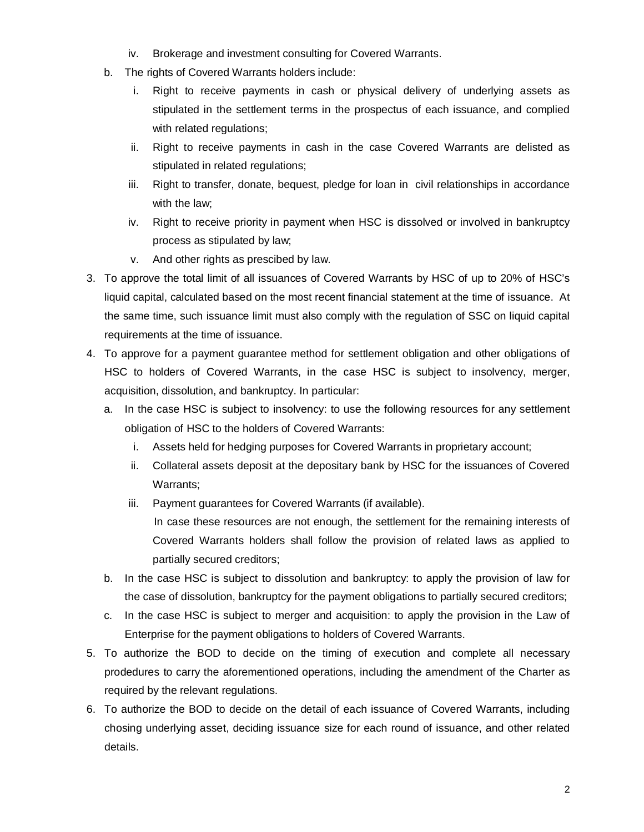- iv. Brokerage and investment consulting for Covered Warrants.
- b. The rights of Covered Warrants holders include:
	- i. Right to receive payments in cash or physical delivery of underlying assets as stipulated in the settlement terms in the prospectus of each issuance, and complied with related regulations;
	- ii. Right to receive payments in cash in the case Covered Warrants are delisted as stipulated in related regulations;
	- iii. Right to transfer, donate, bequest, pledge for loan in civil relationships in accordance with the law;
	- iv. Right to receive priority in payment when HSC is dissolved or involved in bankruptcy process as stipulated by law;
	- v. And other rights as prescibed by law.
- 3. To approve the total limit of all issuances of Covered Warrants by HSC of up to 20% of HSC's liquid capital, calculated based on the most recent financial statement at the time of issuance. At the same time, such issuance limit must also comply with the regulation of SSC on liquid capital requirements at the time of issuance.
- 4. To approve for a payment guarantee method for settlement obligation and other obligations of HSC to holders of Covered Warrants, in the case HSC is subject to insolvency, merger, acquisition, dissolution, and bankruptcy. In particular:
	- a. In the case HSC is subject to insolvency: to use the following resources for any settlement obligation of HSC to the holders of Covered Warrants:
		- i. Assets held for hedging purposes for Covered Warrants in proprietary account;
		- ii. Collateral assets deposit at the depositary bank by HSC for the issuances of Covered Warrants;
		- iii. Payment guarantees for Covered Warrants (if available). In case these resources are not enough, the settlement for the remaining interests of Covered Warrants holders shall follow the provision of related laws as applied to partially secured creditors;
	- b. In the case HSC is subject to dissolution and bankruptcy: to apply the provision of law for the case of dissolution, bankruptcy for the payment obligations to partially secured creditors;
	- c. In the case HSC is subject to merger and acquisition: to apply the provision in the Law of Enterprise for the payment obligations to holders of Covered Warrants.
- 5. To authorize the BOD to decide on the timing of execution and complete all necessary prodedures to carry the aforementioned operations, including the amendment of the Charter as required by the relevant regulations.
- 6. To authorize the BOD to decide on the detail of each issuance of Covered Warrants, including chosing underlying asset, deciding issuance size for each round of issuance, and other related details.